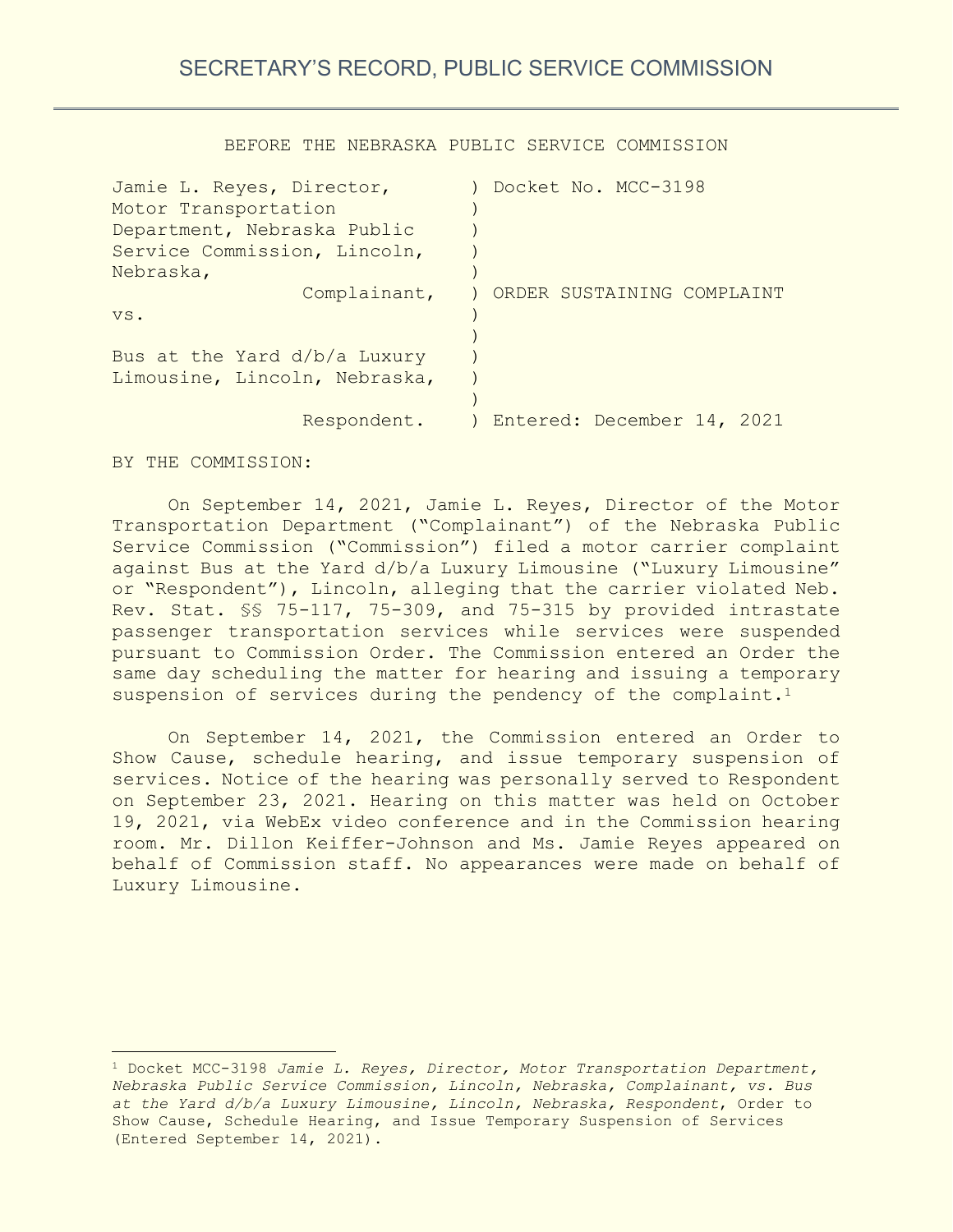## BEFORE THE NEBRASKA PUBLIC SERVICE COMMISSION

| Jamie L. Reyes, Director,<br>Motor Transportation | Docket No. MCC-3198        |
|---------------------------------------------------|----------------------------|
| Department, Nebraska Public                       |                            |
| Service Commission, Lincoln,                      |                            |
| Nebraska,                                         |                            |
| Complainant,                                      | ORDER SUSTAINING COMPLAINT |
| VS.                                               |                            |
|                                                   |                            |
| Bus at the Yard d/b/a Luxury                      |                            |
| Limousine, Lincoln, Nebraska,                     |                            |
|                                                   |                            |
| Respondent.                                       | Entered: December 14, 2021 |
|                                                   |                            |

BY THE COMMISSION:

On September 14, 2021, Jamie L. Reyes, Director of the Motor Transportation Department ("Complainant") of the Nebraska Public Service Commission ("Commission") filed a motor carrier complaint against Bus at the Yard d/b/a Luxury Limousine ("Luxury Limousine" or "Respondent"), Lincoln, alleging that the carrier violated Neb. Rev. Stat. §§ 75-117, 75-309, and 75-315 by provided intrastate passenger transportation services while services were suspended pursuant to Commission Order. The Commission entered an Order the same day scheduling the matter for hearing and issuing a temporary suspension of services during the pendency of the complaint.<sup>1</sup>

On September 14, 2021, the Commission entered an Order to Show Cause, schedule hearing, and issue temporary suspension of services. Notice of the hearing was personally served to Respondent on September 23, 2021. Hearing on this matter was held on October 19, 2021, via WebEx video conference and in the Commission hearing room. Mr. Dillon Keiffer-Johnson and Ms. Jamie Reyes appeared on behalf of Commission staff. No appearances were made on behalf of Luxury Limousine.

<sup>1</sup> Docket MCC-3198 *Jamie L. Reyes, Director, Motor Transportation Department, Nebraska Public Service Commission, Lincoln, Nebraska, Complainant, vs. Bus at the Yard d/b/a Luxury Limousine, Lincoln, Nebraska, Respondent*, Order to Show Cause, Schedule Hearing, and Issue Temporary Suspension of Services (Entered September 14, 2021).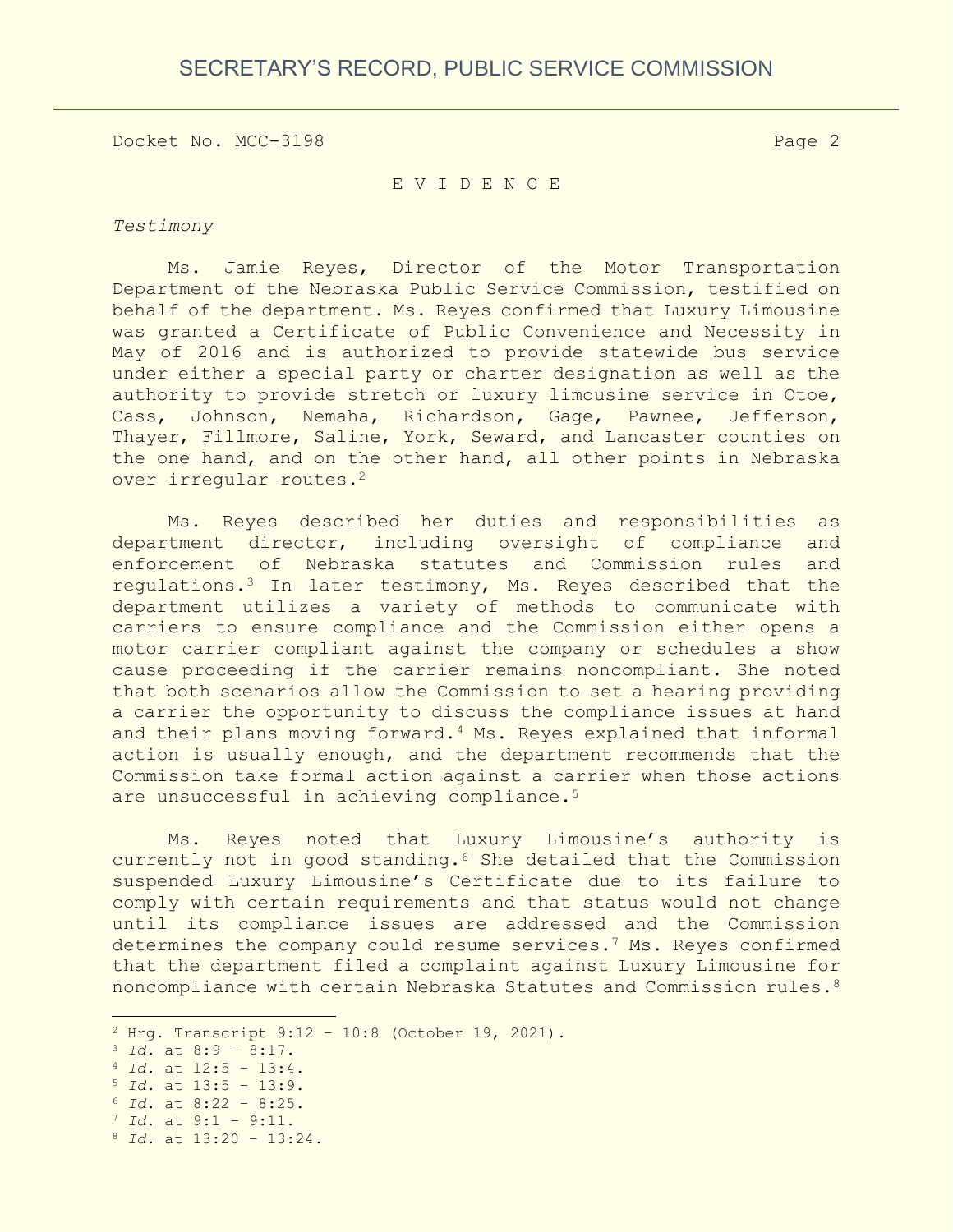#### E V I D E N C E

*Testimony*

Ms. Jamie Reyes, Director of the Motor Transportation Department of the Nebraska Public Service Commission, testified on behalf of the department. Ms. Reyes confirmed that Luxury Limousine was granted a Certificate of Public Convenience and Necessity in May of 2016 and is authorized to provide statewide bus service under either a special party or charter designation as well as the authority to provide stretch or luxury limousine service in Otoe, Cass, Johnson, Nemaha, Richardson, Gage, Pawnee, Jefferson, Thayer, Fillmore, Saline, York, Seward, and Lancaster counties on the one hand, and on the other hand, all other points in Nebraska over irregular routes.<sup>2</sup>

Ms. Reyes described her duties and responsibilities as department director, including oversight of compliance and enforcement of Nebraska statutes and Commission rules and regulations.<sup>3</sup> In later testimony, Ms. Reyes described that the department utilizes a variety of methods to communicate with carriers to ensure compliance and the Commission either opens a motor carrier compliant against the company or schedules a show cause proceeding if the carrier remains noncompliant. She noted that both scenarios allow the Commission to set a hearing providing a carrier the opportunity to discuss the compliance issues at hand and their plans moving forward.<sup>4</sup> Ms. Reyes explained that informal action is usually enough, and the department recommends that the Commission take formal action against a carrier when those actions are unsuccessful in achieving compliance.<sup>5</sup>

Ms. Reyes noted that Luxury Limousine's authority is currently not in good standing.<sup>6</sup> She detailed that the Commission suspended Luxury Limousine's Certificate due to its failure to comply with certain requirements and that status would not change until its compliance issues are addressed and the Commission determines the company could resume services.<sup>7</sup> Ms. Reyes confirmed that the department filed a complaint against Luxury Limousine for noncompliance with certain Nebraska Statutes and Commission rules.<sup>8</sup>

 $2$  Hrg. Transcript  $9:12 - 10:8$  (October 19, 2021).

<sup>3</sup> *Id.* at 8:9 – 8:17.

<sup>4</sup> *Id.* at 12:5 – 13:4.

<sup>5</sup> *Id.* at 13:5 – 13:9.

<sup>6</sup> *Id.* at 8:22 – 8:25. <sup>7</sup> *Id.* at 9:1 – 9:11.

<sup>8</sup> *Id.* at 13:20 – 13:24.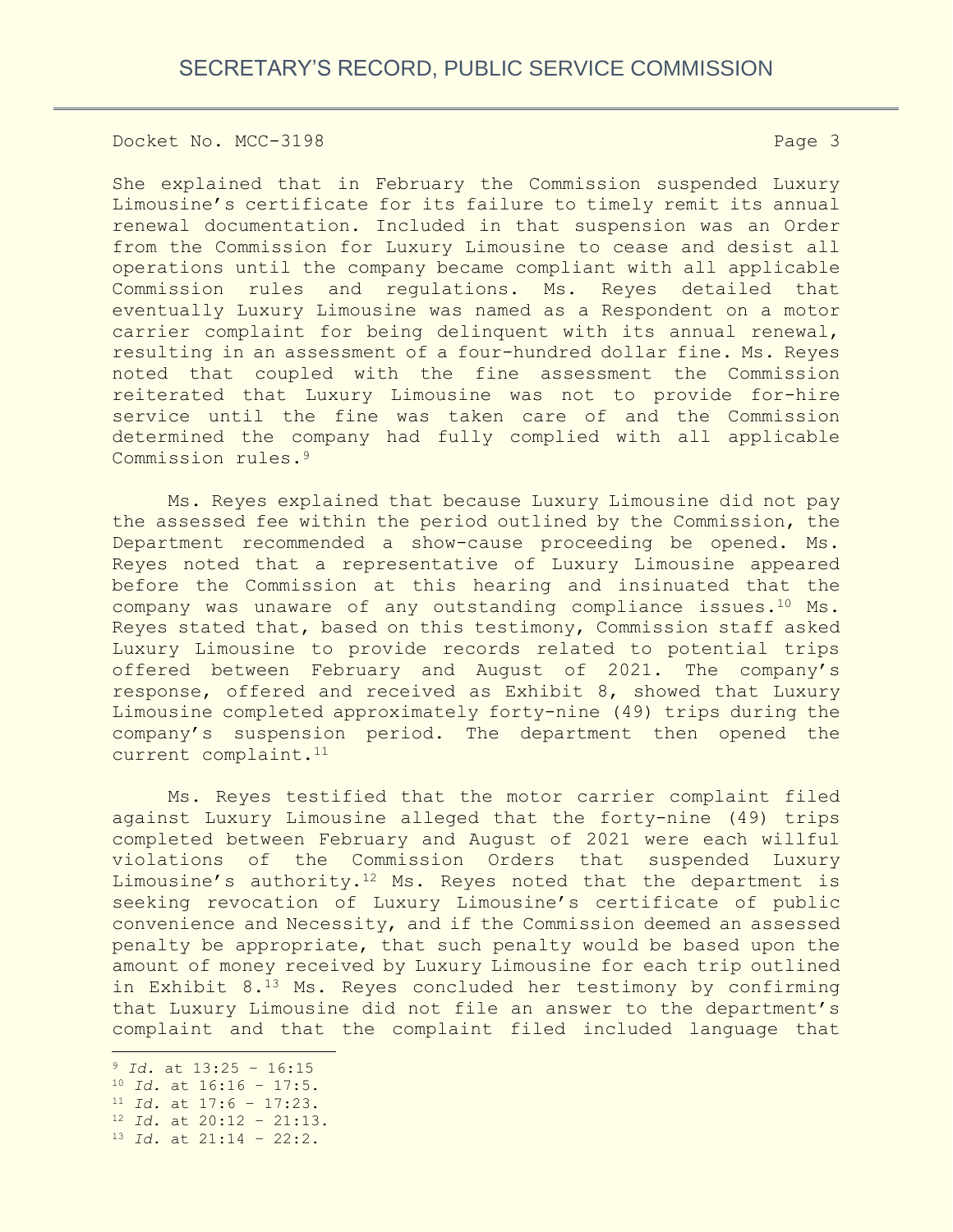She explained that in February the Commission suspended Luxury Limousine's certificate for its failure to timely remit its annual renewal documentation. Included in that suspension was an Order from the Commission for Luxury Limousine to cease and desist all operations until the company became compliant with all applicable Commission rules and regulations. Ms. Reyes detailed that eventually Luxury Limousine was named as a Respondent on a motor carrier complaint for being delinquent with its annual renewal, resulting in an assessment of a four-hundred dollar fine. Ms. Reyes noted that coupled with the fine assessment the Commission reiterated that Luxury Limousine was not to provide for-hire service until the fine was taken care of and the Commission determined the company had fully complied with all applicable Commission rules.<sup>9</sup>

Ms. Reyes explained that because Luxury Limousine did not pay the assessed fee within the period outlined by the Commission, the Department recommended a show-cause proceeding be opened. Ms. Reyes noted that a representative of Luxury Limousine appeared before the Commission at this hearing and insinuated that the company was unaware of any outstanding compliance issues.<sup>10</sup> Ms. Reyes stated that, based on this testimony, Commission staff asked Luxury Limousine to provide records related to potential trips offered between February and August of 2021. The company's response, offered and received as Exhibit 8, showed that Luxury Limousine completed approximately forty-nine (49) trips during the company's suspension period. The department then opened the current complaint.<sup>11</sup>

Ms. Reyes testified that the motor carrier complaint filed against Luxury Limousine alleged that the forty-nine (49) trips completed between February and August of 2021 were each willful violations of the Commission Orders that suspended Luxury Limousine's authority.<sup>12</sup> Ms. Reyes noted that the department is seeking revocation of Luxury Limousine's certificate of public convenience and Necessity, and if the Commission deemed an assessed penalty be appropriate, that such penalty would be based upon the amount of money received by Luxury Limousine for each trip outlined in Exhibit 8.<sup>13</sup> Ms. Reyes concluded her testimony by confirming that Luxury Limousine did not file an answer to the department's complaint and that the complaint filed included language that

<sup>9</sup> *Id.* at 13:25 – 16:15

<sup>10</sup> *Id.* at 16:16 – 17:5.

<sup>11</sup> *Id.* at 17:6 – 17:23.

<sup>12</sup> *Id.* at 20:12 – 21:13.

<sup>13</sup> *Id.* at 21:14 – 22:2.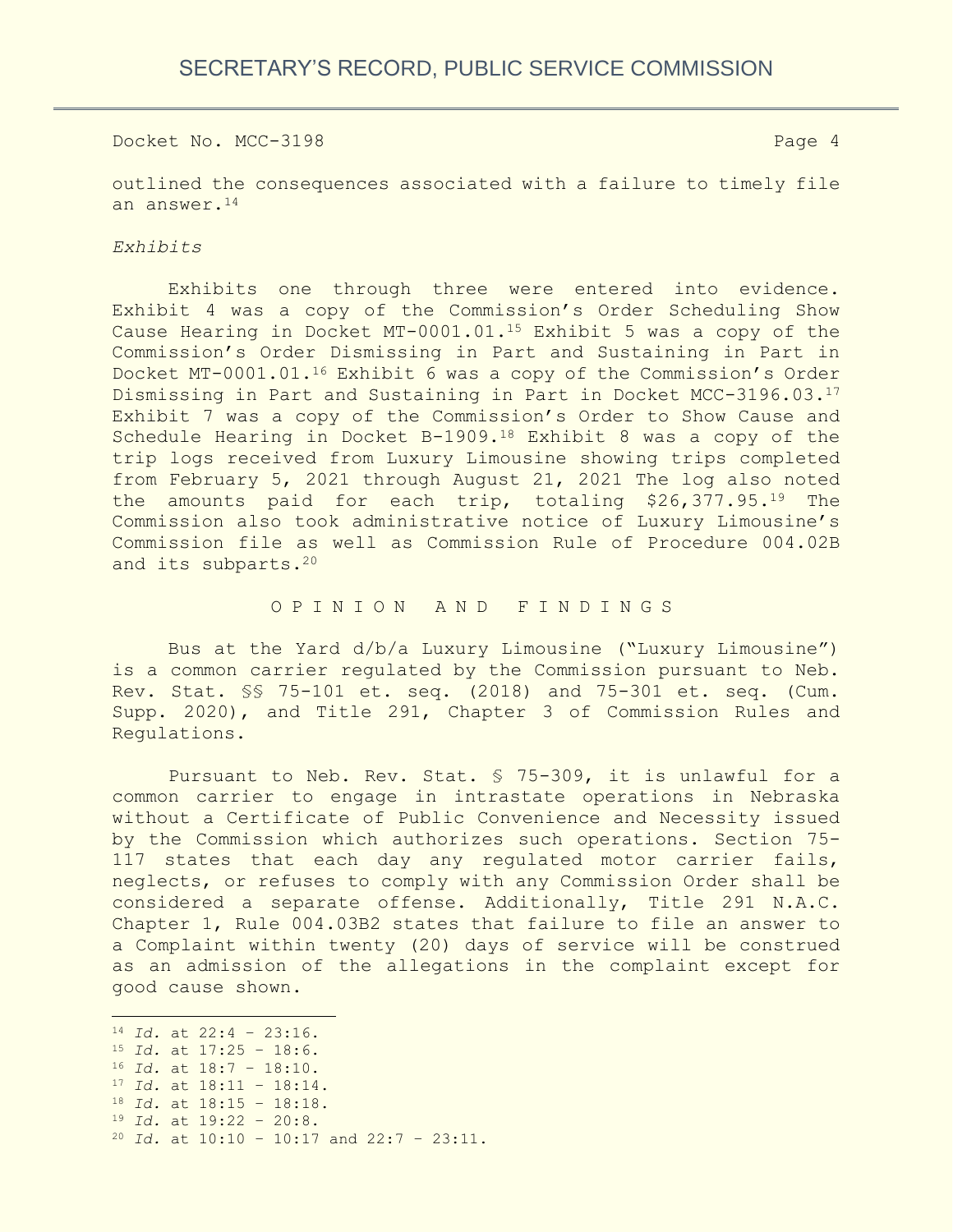outlined the consequences associated with a failure to timely file an answer.<sup>14</sup>

#### *Exhibits*

Exhibits one through three were entered into evidence. Exhibit 4 was a copy of the Commission's Order Scheduling Show Cause Hearing in Docket MT-0001.01.<sup>15</sup> Exhibit 5 was a copy of the Commission's Order Dismissing in Part and Sustaining in Part in Docket MT-0001.01.<sup>16</sup> Exhibit 6 was a copy of the Commission's Order Dismissing in Part and Sustaining in Part in Docket MCC-3196.03.<sup>17</sup> Exhibit 7 was a copy of the Commission's Order to Show Cause and Schedule Hearing in Docket B-1909.<sup>18</sup> Exhibit 8 was a copy of the trip logs received from Luxury Limousine showing trips completed from February 5, 2021 through August 21, 2021 The log also noted the amounts paid for each trip, totaling \$26,377.95.<sup>19</sup> The Commission also took administrative notice of Luxury Limousine's Commission file as well as Commission Rule of Procedure 004.02B and its subparts.<sup>20</sup>

# OPINION AND FINDINGS

Bus at the Yard d/b/a Luxury Limousine ("Luxury Limousine") is a common carrier regulated by the Commission pursuant to Neb. Rev. Stat. §§ 75-101 et. seq. (2018) and 75-301 et. seq. (Cum. Supp. 2020), and Title 291, Chapter 3 of Commission Rules and Regulations.

Pursuant to Neb. Rev. Stat. § 75-309, it is unlawful for a common carrier to engage in intrastate operations in Nebraska without a Certificate of Public Convenience and Necessity issued by the Commission which authorizes such operations. Section 75- 117 states that each day any regulated motor carrier fails, neglects, or refuses to comply with any Commission Order shall be considered a separate offense. Additionally, Title 291 N.A.C. Chapter 1, Rule 004.03B2 states that failure to file an answer to a Complaint within twenty (20) days of service will be construed as an admission of the allegations in the complaint except for good cause shown.

<sup>14</sup> *Id.* at 22:4 – 23:16. <sup>15</sup> *Id.* at 17:25 – 18:6. <sup>16</sup> *Id.* at 18:7 – 18:10. <sup>17</sup> *Id.* at 18:11 – 18:14. <sup>18</sup> *Id.* at 18:15 – 18:18. <sup>19</sup> *Id.* at 19:22 – 20:8. <sup>20</sup> *Id.* at 10:10 – 10:17 and 22:7 – 23:11.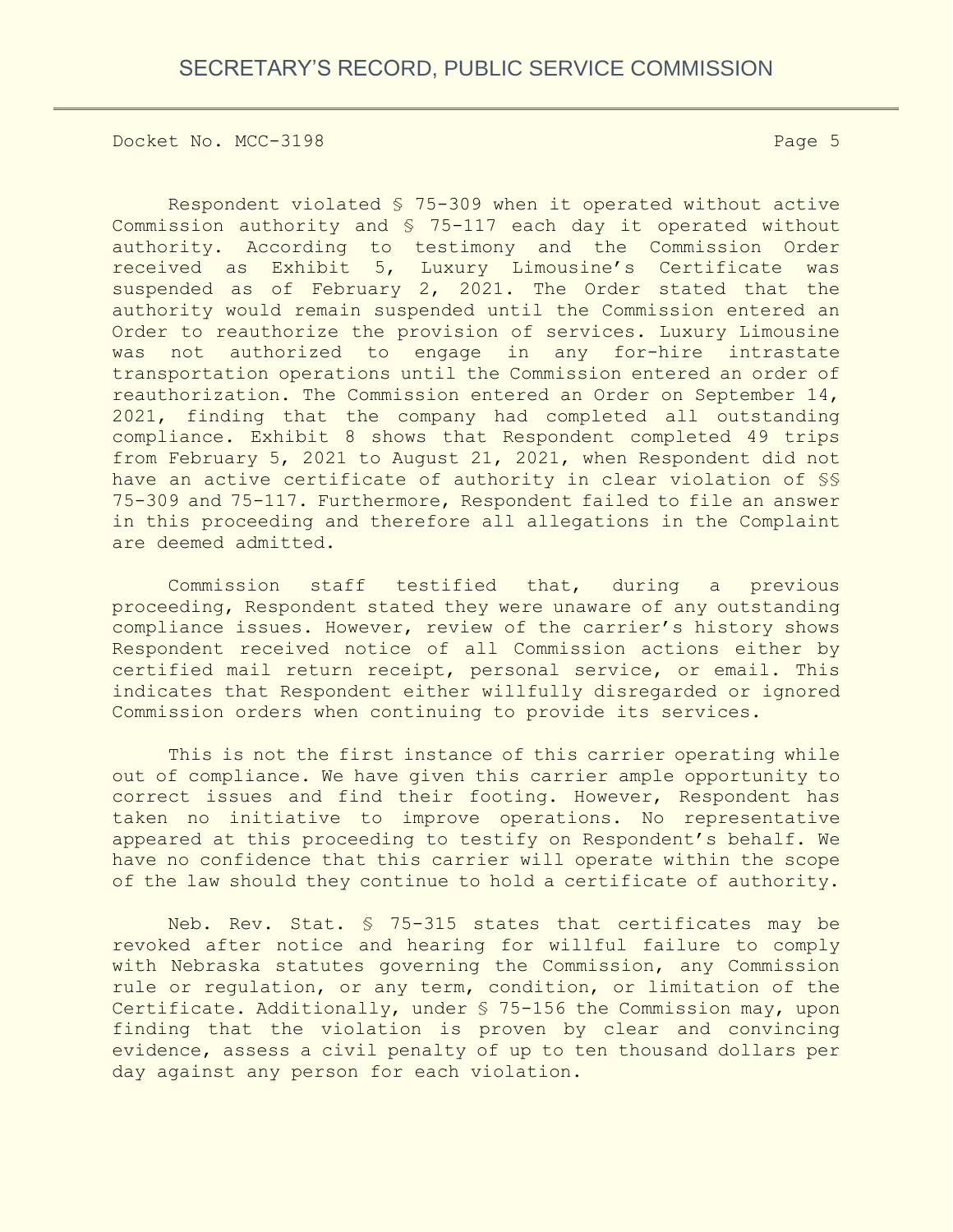Respondent violated § 75-309 when it operated without active Commission authority and § 75-117 each day it operated without authority. According to testimony and the Commission Order received as Exhibit 5, Luxury Limousine's Certificate was suspended as of February 2, 2021. The Order stated that the authority would remain suspended until the Commission entered an Order to reauthorize the provision of services. Luxury Limousine was not authorized to engage in any for-hire intrastate transportation operations until the Commission entered an order of reauthorization. The Commission entered an Order on September 14, 2021, finding that the company had completed all outstanding compliance. Exhibit 8 shows that Respondent completed 49 trips from February 5, 2021 to August 21, 2021, when Respondent did not have an active certificate of authority in clear violation of §§ 75-309 and 75-117. Furthermore, Respondent failed to file an answer in this proceeding and therefore all allegations in the Complaint are deemed admitted.

Commission staff testified that, during a previous proceeding, Respondent stated they were unaware of any outstanding compliance issues. However, review of the carrier's history shows Respondent received notice of all Commission actions either by certified mail return receipt, personal service, or email. This indicates that Respondent either willfully disregarded or ignored Commission orders when continuing to provide its services.

This is not the first instance of this carrier operating while out of compliance. We have given this carrier ample opportunity to correct issues and find their footing. However, Respondent has taken no initiative to improve operations. No representative appeared at this proceeding to testify on Respondent's behalf. We have no confidence that this carrier will operate within the scope of the law should they continue to hold a certificate of authority.

Neb. Rev. Stat. § 75-315 states that certificates may be revoked after notice and hearing for willful failure to comply with Nebraska statutes governing the Commission, any Commission rule or regulation, or any term, condition, or limitation of the Certificate. Additionally, under § 75-156 the Commission may, upon finding that the violation is proven by clear and convincing evidence, assess a civil penalty of up to ten thousand dollars per day against any person for each violation.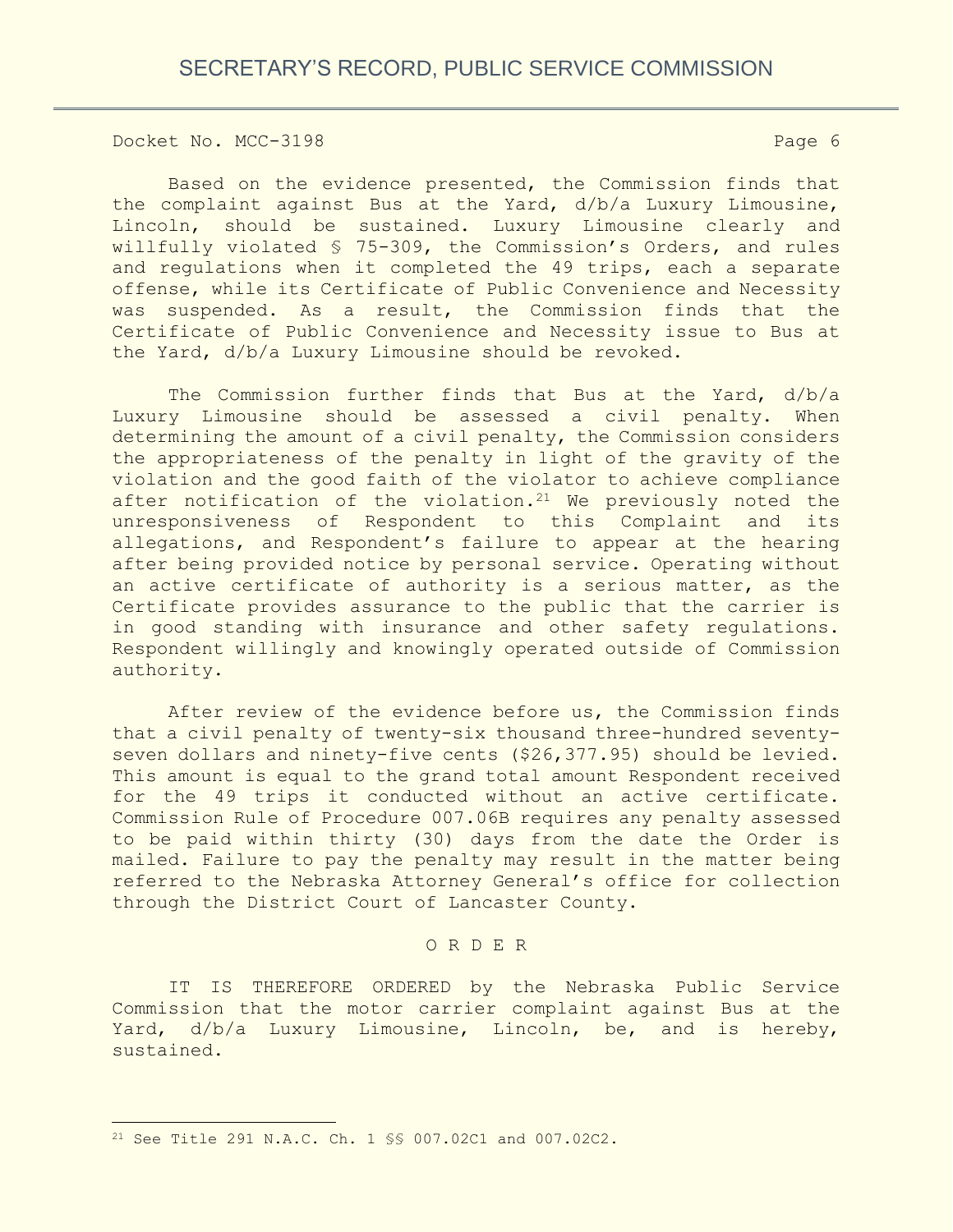Based on the evidence presented, the Commission finds that the complaint against Bus at the Yard, d/b/a Luxury Limousine, Lincoln, should be sustained. Luxury Limousine clearly and willfully violated § 75-309, the Commission's Orders, and rules and regulations when it completed the 49 trips, each a separate offense, while its Certificate of Public Convenience and Necessity was suspended. As a result, the Commission finds that the Certificate of Public Convenience and Necessity issue to Bus at the Yard, d/b/a Luxury Limousine should be revoked.

The Commission further finds that Bus at the Yard, d/b/a Luxury Limousine should be assessed a civil penalty. When determining the amount of a civil penalty, the Commission considers the appropriateness of the penalty in light of the gravity of the violation and the good faith of the violator to achieve compliance after notification of the violation.<sup>21</sup> We previously noted the unresponsiveness of Respondent to this Complaint and its allegations, and Respondent's failure to appear at the hearing after being provided notice by personal service. Operating without an active certificate of authority is a serious matter, as the Certificate provides assurance to the public that the carrier is in good standing with insurance and other safety regulations. Respondent willingly and knowingly operated outside of Commission authority.

After review of the evidence before us, the Commission finds that a civil penalty of twenty-six thousand three-hundred seventyseven dollars and ninety-five cents (\$26,377.95) should be levied. This amount is equal to the grand total amount Respondent received for the 49 trips it conducted without an active certificate. Commission Rule of Procedure 007.06B requires any penalty assessed to be paid within thirty (30) days from the date the Order is mailed. Failure to pay the penalty may result in the matter being referred to the Nebraska Attorney General's office for collection through the District Court of Lancaster County.

### O R D E R

IT IS THEREFORE ORDERED by the Nebraska Public Service Commission that the motor carrier complaint against Bus at the Yard, d/b/a Luxury Limousine, Lincoln, be, and is hereby, sustained.

<sup>21</sup> See Title 291 N.A.C. Ch. 1 §§ 007.02C1 and 007.02C2.